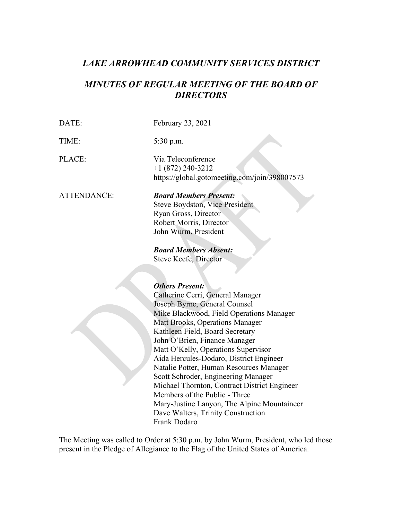# *LAKE ARROWHEAD COMMUNITY SERVICES DISTRICT*

# *MINUTES OF REGULAR MEETING OF THE BOARD OF DIRECTORS*

DATE: February 23, 2021 TIME: 5:30 p.m. PLACE: Via Teleconference [+1 \(872\) 240-3212](tel:+18722403212,,398007573) <https://global.gotomeeting.com/join/398007573> ATTENDANCE: *Board Members Present:* Steve Boydston, Vice President Ryan Gross, Director Robert Morris, Director John Wurm, President *Board Members Absent:* Steve Keefe, Director *Others Present:*  Catherine Cerri, General Manager Joseph Byrne, General Counsel Mike Blackwood, Field Operations Manager Matt Brooks, Operations Manager Kathleen Field, Board Secretary John O'Brien, Finance Manager Matt O'Kelly, Operations Supervisor Aida Hercules-Dodaro, District Engineer Natalie Potter, Human Resources Manager Scott Schroder, Engineering Manager

Michael Thornton, Contract District Engineer Members of the Public - Three Mary-Justine Lanyon, The Alpine Mountaineer Dave Walters, Trinity Construction Frank Dodaro

The Meeting was called to Order at 5:30 p.m. by John Wurm, President, who led those present in the Pledge of Allegiance to the Flag of the United States of America.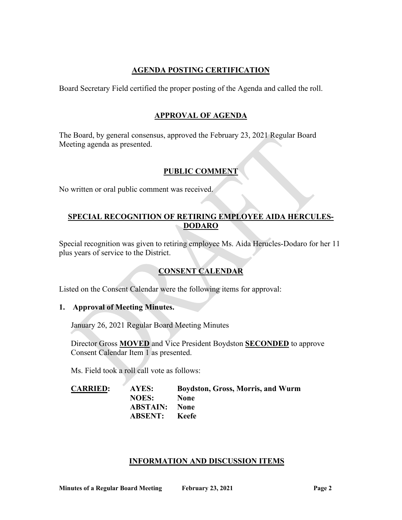# **AGENDA POSTING CERTIFICATION**

Board Secretary Field certified the proper posting of the Agenda and called the roll.

# **APPROVAL OF AGENDA**

The Board, by general consensus, approved the February 23, 2021 Regular Board Meeting agenda as presented.

# **PUBLIC COMMENT**

No written or oral public comment was received.

# **SPECIAL RECOGNITION OF RETIRING EMPLOYEE AIDA HERCULES-DODARO**

Special recognition was given to retiring employee Ms. Aida Herucles-Dodaro for her 11 plus years of service to the District.

# **CONSENT CALENDAR**

Listed on the Consent Calendar were the following items for approval:

# **1. Approval of Meeting Minutes.**

January 26, 2021 Regular Board Meeting Minutes

Director Gross **MOVED** and Vice President Boydston **SECONDED** to approve Consent Calendar Item 1 as presented.

Ms. Field took a roll call vote as follows:

**CARRIED: AYES: Boydston, Gross, Morris, and Wurm NOES: None ABSTAIN: None ABSENT: Keefe**

# **INFORMATION AND DISCUSSION ITEMS**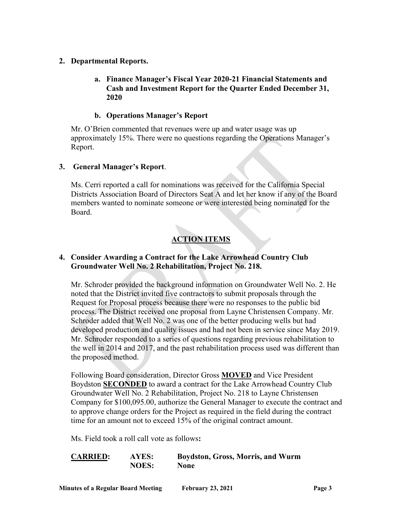#### **2. Departmental Reports.**

# **a. Finance Manager's Fiscal Year 2020-21 Financial Statements and Cash and Investment Report for the Quarter Ended December 31, 2020**

### **b. Operations Manager's Report**

Mr. O'Brien commented that revenues were up and water usage was up approximately 15%. There were no questions regarding the Operations Manager's Report.

#### **3. General Manager's Report**.

Ms. Cerri reported a call for nominations was received for the California Special Districts Association Board of Directors Seat A and let her know if any of the Board members wanted to nominate someone or were interested being nominated for the Board.

# **ACTION ITEMS**

#### **4. Consider Awarding a Contract for the Lake Arrowhead Country Club Groundwater Well No. 2 Rehabilitation, Project No. 218.**

Mr. Schroder provided the background information on Groundwater Well No. 2. He noted that the District invited five contractors to submit proposals through the Request for Proposal process because there were no responses to the public bid process. The District received one proposal from Layne Christensen Company. Mr. Schroder added that Well No. 2 was one of the better producing wells but had developed production and quality issues and had not been in service since May 2019. Mr. Schroder responded to a series of questions regarding previous rehabilitation to the well in 2014 and 2017, and the past rehabilitation process used was different than the proposed method.

Following Board consideration, Director Gross **MOVED** and Vice President Boydston **SECONDED** to award a contract for the Lake Arrowhead Country Club Groundwater Well No. 2 Rehabilitation, Project No. 218 to Layne Christensen Company for \$100,095.00, authorize the General Manager to execute the contract and to approve change orders for the Project as required in the field during the contract time for an amount not to exceed 15% of the original contract amount.

Ms. Field took a roll call vote as follows**:**

**CARRIED: AYES: Boydston, Gross, Morris, and Wurm NOES: None**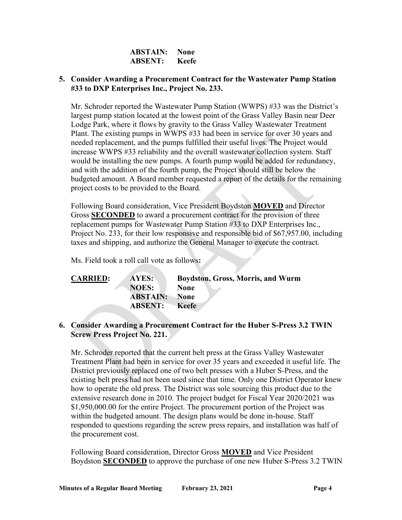| <b>ABSTAIN:</b> | None  |
|-----------------|-------|
| <b>ABSENT:</b>  | Keefe |

#### **5. Consider Awarding a Procurement Contract for the Wastewater Pump Station #33 to DXP Enterprises Inc., Project No. 233.**

Mr. Schroder reported the Wastewater Pump Station (WWPS) #33 was the District's largest pump station located at the lowest point of the Grass Valley Basin near Deer Lodge Park, where it flows by gravity to the Grass Valley Wastewater Treatment Plant. The existing pumps in WWPS #33 had been in service for over 30 years and needed replacement, and the pumps fulfilled their useful lives. The Project would increase WWPS #33 reliability and the overall wastewater collection system. Staff would be installing the new pumps. A fourth pump would be added for redundancy, and with the addition of the fourth pump, the Project should still be below the budgeted amount. A Board member requested a report of the details for the remaining project costs to be provided to the Board.

Following Board consideration, Vice President Boydston **MOVED** and Director Gross **SECONDED** to award a procurement contract for the provision of three replacement pumps for Wastewater Pump Station #33 to DXP Enterprises Inc., Project No. 233, for their low responsive and responsible bid of \$67,957.00, including taxes and shipping, and authorize the General Manager to execute the contract.

Ms. Field took a roll call vote as follows**:**

| <b>CARRIED:</b> | <b>AYES:</b>    | <b>Boydston, Gross, Morris, and Wurm</b> |
|-----------------|-----------------|------------------------------------------|
|                 | <b>NOES:</b>    | <b>None</b>                              |
|                 | <b>ABSTAIN:</b> | None                                     |
|                 | <b>ABSENT:</b>  | <b>Keefe</b>                             |

#### **6. Consider Awarding a Procurement Contract for the Huber S-Press 3.2 TWIN Screw Press Project No. 221.**

Mr. Schroder reported that the current belt press at the Grass Valley Wastewater Treatment Plant had been in service for over 35 years and exceeded it useful life. The District previously replaced one of two belt presses with a Huber S-Press, and the existing belt press had not been used since that time. Only one District Operator knew how to operate the old press. The District was sole sourcing this product due to the extensive research done in 2010. The project budget for Fiscal Year 2020/2021 was \$1,950,000.00 for the entire Project. The procurement portion of the Project was within the budgeted amount. The design plans would be done in-house. Staff responded to questions regarding the screw press repairs, and installation was half of the procurement cost.

Following Board consideration, Director Gross **MOVED** and Vice President Boydston **SECONDED** to approve the purchase of one new Huber S-Press 3.2 TWIN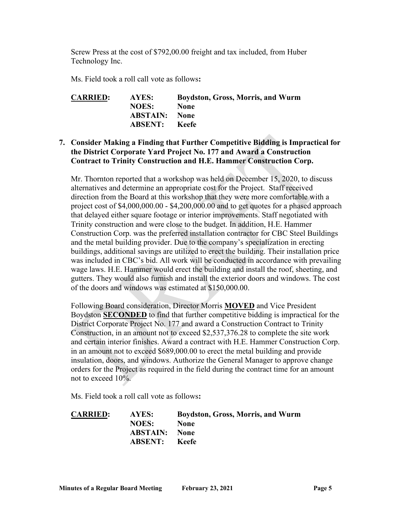Screw Press at the cost of \$792,00.00 freight and tax included, from Huber Technology Inc.

Ms. Field took a roll call vote as follows**:**

| <b>CARRIED:</b> | AYES:                | <b>Boydston, Gross, Morris, and Wurm</b> |
|-----------------|----------------------|------------------------------------------|
|                 | <b>NOES:</b>         | <b>None</b>                              |
|                 | <b>ABSTAIN:</b> None |                                          |
|                 | <b>ABSENT:</b> Keefe |                                          |

# **7. Consider Making a Finding that Further Competitive Bidding is Impractical for the District Corporate Yard Project No. 177 and Award a Construction Contract to Trinity Construction and H.E. Hammer Construction Corp.**

Mr. Thornton reported that a workshop was held on December 15, 2020, to discuss alternatives and determine an appropriate cost for the Project. Staff received direction from the Board at this workshop that they were more comfortable with a project cost of \$4,000,000.00 - \$4,200,000.00 and to get quotes for a phased approach that delayed either square footage or interior improvements. Staff negotiated with Trinity construction and were close to the budget. In addition, H.E. Hammer Construction Corp. was the preferred installation contractor for CBC Steel Buildings and the metal building provider. Due to the company's specialization in erecting buildings, additional savings are utilized to erect the building. Their installation price was included in CBC's bid. All work will be conducted in accordance with prevailing wage laws. H.E. Hammer would erect the building and install the roof, sheeting, and gutters. They would also furnish and install the exterior doors and windows. The cost of the doors and windows was estimated at \$150,000.00.

Following Board consideration, Director Morris **MOVED** and Vice President Boydston **SECONDED** to find that further competitive bidding is impractical for the District Corporate Project No. 177 and award a Construction Contract to Trinity Construction, in an amount not to exceed \$2,537,376.28 to complete the site work and certain interior finishes. Award a contract with H.E. Hammer Construction Corp. in an amount not to exceed \$689,000.00 to erect the metal building and provide insulation, doors, and windows. Authorize the General Manager to approve change orders for the Project as required in the field during the contract time for an amount not to exceed 10%.

Ms. Field took a roll call vote as follows**:**

| <b>CARRIED:</b> | AYES:                | <b>Boydston, Gross, Morris, and Wurm</b> |
|-----------------|----------------------|------------------------------------------|
|                 | <b>NOES:</b>         | <b>None</b>                              |
|                 | <b>ABSTAIN:</b> None |                                          |
|                 | <b>ABSENT:</b> Keefe |                                          |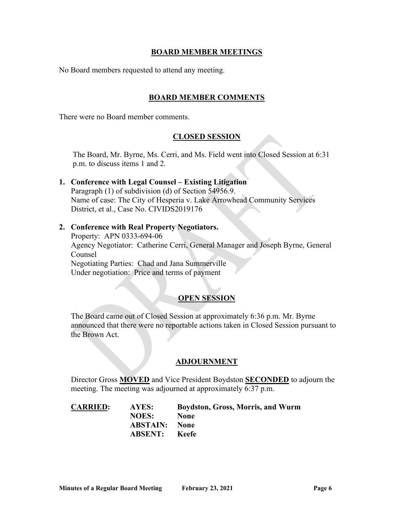#### **BOARD MEMBER MEETINGS**

No Board members requested to attend any meeting.

#### **BOARD MEMBER COMMENTS**

There were no Board member comments.

#### **CLOSED SESSION**

The Board, Mr. Byrne, Ms. Cerri, and Ms. Field went into Closed Session at 6:31 p.m. to discuss items 1 and 2.

- **1. Conference with Legal Counsel – Existing Litigation** Paragraph (1) of subdivision (d) of Section 54956.9. Name of case: The City of Hesperia v. Lake Arrowhead Community Services District, et al., Case No. CIVIDS2019176
- **2. Conference with Real Property Negotiators.** Property: APN 0333-694-06 Agency Negotiator: Catherine Cerri, General Manager and Joseph Byrne, General Counsel Negotiating Parties: Chad and Jana Summerville Under negotiation: Price and terms of payment

# **OPEN SESSION**

The Board came out of Closed Session at approximately 6:36 p.m. Mr. Byrne announced that there were no reportable actions taken in Closed Session pursuant to the Brown Act.

#### **ADJOURNMENT**

Director Gross **MOVED** and Vice President Boydston **SECONDED** to adjourn the meeting. The meeting was adjourned at approximately 6:37 p.m.

| <b>CARRIED:</b> | AYES:                | <b>Boydston, Gross, Morris, and Wurm</b> |
|-----------------|----------------------|------------------------------------------|
|                 | <b>NOES:</b>         | <b>None</b>                              |
|                 | <b>ABSTAIN:</b> None |                                          |
|                 | <b>ABSENT:</b> Keefe |                                          |